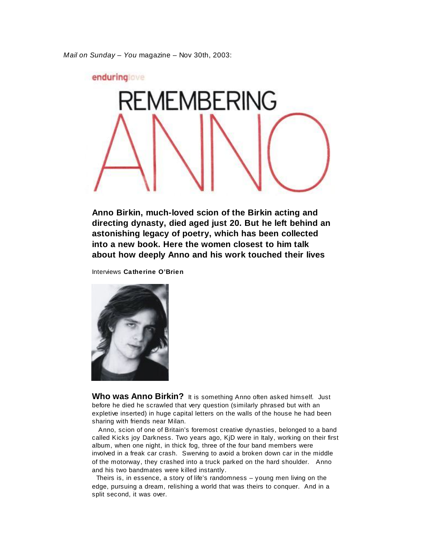*Mail on Sunday* – *You* magazine – Nov 30th, 2003:



**Anno Birkin, much-loved scion of the Birkin acting and directing dynasty, died aged just 20. But he left behind an astonishing legacy of poetry, which has been collected into a new book. Here the women closest to him talk about how deeply Anno and his work touched their lives**

Interviews **Catherine O'Brien**



Who was Anno Birkin? It is something Anno often asked himself. Just before he died he scrawled that very question (similarly phrased but with an expletive inserted) in huge capital letters on the walls of the house he had been sharing with friends near Milan.

 Anno, scion of one of Britain's foremost creative dynasties, belonged to a band called Kicks joy Darkness. Two years ago, KjD were in Italy, working on their first album, when one night, in thick fog, three of the four band members were involved in a freak car crash. Swerving to avoid a broken down car in the middle of the motorway, they crashed into a truck parked on the hard shoulder. Anno and his two bandmates were killed instantly.

 Theirs is, in essence, a story of life's randomness – young men living on the edge, pursuing a dream, relishing a world that was theirs to conquer. And in a split second, it was over.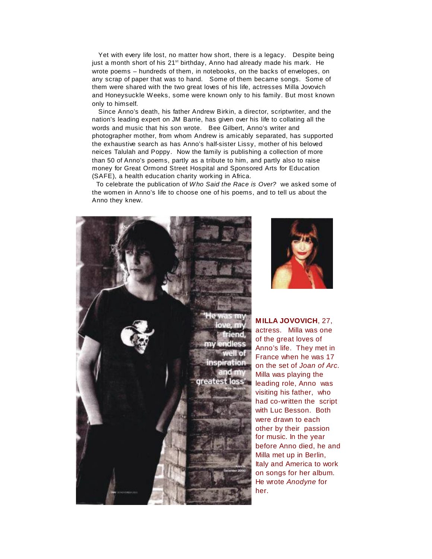Yet with every life lost, no matter how short, there is a legacy. Despite being just a month short of his 21<sup>st</sup> birthday, Anno had already made his mark. He wrote poems – hundreds of them, in notebooks, on the backs of envelopes, on any scrap of paper that was to hand. Some of them became songs. Some of them were shared with the two great loves of his life, actresses Milla Jovovich and Honeysuckle Weeks, some were known only to his family. But most known only to himself.

 Since Anno's death, his father Andrew Birkin, a director, scriptwriter, and the nation's leading expert on JM Barrie, has given over his life to collating all the words and music that his son wrote. Bee Gilbert, Anno's writer and photographer mother, from whom Andrew is amicably separated, has supported the exhaustive search as has Anno's half-sister Lissy, mother of his beloved neices Talulah and Poppy. Now the family is publishing a collection of more than 50 of Anno's poems, partly as a tribute to him, and partly also to raise money for Great Ormond Street Hospital and Sponsored Arts for Education (SAFE), a health education charity working in Africa.

 To celebrate the publication of *Who Said the Race is Over?* we asked some of the women in Anno's life to choose one of his poems, and to tell us about the Anno they knew.





**M ILLA JOVOVICH**, 27, actress. Milla was one of the great loves of Anno's life. They met in France when he was 17 on the set of *Joan of Arc*. Milla was playing the leading role, Anno was visiting his father, who had co-written the script with Luc Besson. Both were drawn to each other by their passion for music. In the year before Anno died, he and Milla met up in Berlin, Italy and America to work on songs for her album. He wrote *Anodyne* for her.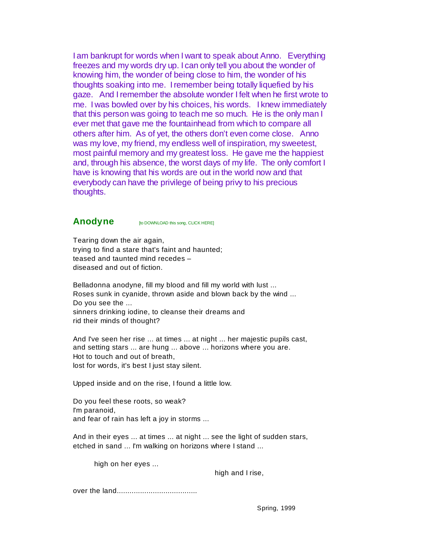I am bankrupt for words when I want to speak about Anno. Everything freezes and my words dry up. I can only tell you about the wonder of knowing him, the wonder of being close to him, the wonder of his thoughts soaking into me. I remember being totally liquefied by his gaze. And I remember the absolute wonder I felt when he first wrote to me. I was bowled over by his choices, his words. I knew immediately that this person was going to teach me so much. He is the only man I ever met that gave me the fountainhead from which to compare all others after him. As of yet, the others don't even come close. Anno was my love, my friend, my endless well of inspiration, my sweetest, most painful memory and my greatest loss. He gave me the happiest and, through his absence, the worst days of my life. The only comfort I have is knowing that his words are out in the world now and that everybody can have the privilege of being privy to his precious thoughts.

**Anodyne its DOWNLOAD this song, CLICK HERE** 

Tearing down the air again, trying to find a stare that's faint and haunted; teased and taunted mind recedes – diseased and out of fiction.

Belladonna anodyne, fill my blood and fill my world with lust ... Roses sunk in cyanide, thrown aside and blown back by the wind ... Do you see the ... sinners drinking iodine, to cleanse their dreams and rid their minds of thought?

And I've seen her rise ... at times ... at night ... her majestic pupils cast, and setting stars ... are hung ... above ... horizons where you are. Hot to touch and out of breath, lost for words, it's best I just stay silent.

Upped inside and on the rise, I found a little low.

Do you feel these roots, so weak? I'm paranoid, and fear of rain has left a joy in storms ...

And in their eyes ... at times ... at night ... see the light of sudden stars, etched in sand ... I'm walking on horizons where I stand ...

high on her eyes ...

high and I rise,

over the land......................................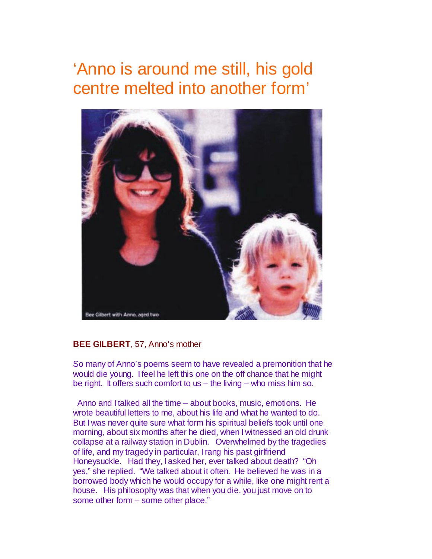# 'Anno is around me still, his gold centre melted into another form'



#### **BEE GILBERT**, 57, Anno's mother

So many of Anno's poems seem to have revealed a premonition that he would die young. I feel he left this one on the off chance that he might be right. It offers such comfort to us – the living – who miss him so.

 Anno and I talked all the time – about books, music, emotions. He wrote beautiful letters to me, about his life and what he wanted to do. But I was never quite sure what form his spiritual beliefs took until one morning, about six months after he died, when I witnessed an old drunk collapse at a railway station in Dublin. Overwhelmed by the tragedies of life, and my tragedy in particular, I rang his past girlfriend Honeysuckle. Had they, I asked her, ever talked about death? "Oh yes," she replied. "We talked about it often. He believed he was in a borrowed body which he would occupy for a while, like one might rent a house. His philosophy was that when you die, you just move on to some other form – some other place."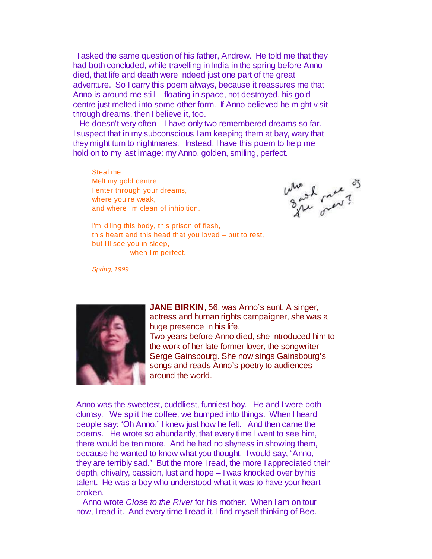I asked the same question of his father, Andrew. He told me that they had both concluded, while travelling in India in the spring before Anno died, that life and death were indeed just one part of the great adventure. So I carry this poem always, because it reassures me that Anno is around me still – floating in space, not destroyed, his gold centre just melted into some other form. If Anno believed he might visit through dreams, then I believe it, too.

 He doesn't very often – I have only two remembered dreams so far. I suspect that in my subconscious I am keeping them at bay, wary that they might turn to nightmares. Instead, I have this poem to help me hold on to my last image: my Anno, golden, smiling, perfect.

Steal me. Melt my gold centre. I enter through your dreams, where you're weak, and where I'm clean of inhibition.

the street?

I'm killing this body, this prison of flesh, this heart and this head that you loved – put to rest, but I'll see you in sleep, when I'm perfect.

*Spring, 1999*



**JANE BIRKIN**, 56, was Anno's aunt. A singer, actress and human rights campaigner, she was a huge presence in his life. Two years before Anno died, she introduced him to the work of her late former lover, the songwriter Serge Gainsbourg. She now sings Gainsbourg's songs and reads Anno's poetry to audiences around the world.

Anno was the sweetest, cuddliest, funniest boy. He and I were both clumsy. We split the coffee, we bumped into things. When I heard people say: "Oh Anno," I knew just how he felt. And then came the poems. He wrote so abundantly, that every time I went to see him, there would be ten more. And he had no shyness in showing them, because he wanted to know what you thought. I would say, "Anno, they are terribly sad." But the more I read, the more I appreciated their depth, chivalry, passion, lust and hope – I was knocked over by his talent. He was a boy who understood what it was to have your heart broken.

 Anno wrote *Close to the River* for his mother. When I am on tour now, I read it. And every time I read it, I find myself thinking of Bee.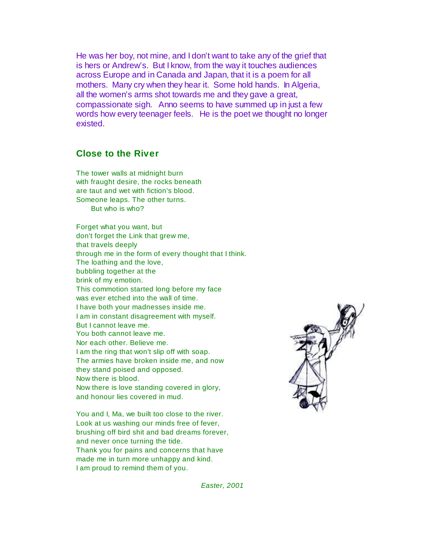He was her boy, not mine, and I don't want to take any of the grief that is hers or Andrew's. But I know, from the way it touches audiences across Europe and in Canada and Japan, that it is a poem for all mothers. Many cry when they hear it. Some hold hands. In Algeria, all the women's arms shot towards me and they gave a great, compassionate sigh. Anno seems to have summed up in just a few words how every teenager feels. He is the poet we thought no longer existed.

#### **Close to the River**

The tower walls at midnight burn with fraught desire, the rocks beneath are taut and wet with fiction's blood. Someone leaps. The other turns. But who is who?

Forget what you want, but don't forget the Link that grew me, that travels deeply through me in the form of every thought that I think. The loathing and the love, bubbling together at the brink of my emotion. This commotion started long before my face was ever etched into the wall of time. I have both your madnesses inside me. I am in constant disagreement with myself. But I cannot leave me. You both cannot leave me. Nor each other. Believe me. I am the ring that won't slip off with soap. The armies have broken inside me, and now they stand poised and opposed. Now there is blood. Now there is love standing covered in glory, and honour lies covered in mud.

You and I, Ma, we built too close to the river. Look at us washing our minds free of fever, brushing off bird shit and bad dreams forever, and never once turning the tide. Thank you for pains and concerns that have made me in turn more unhappy and kind. I am proud to remind them of you.



 *Easter, 2001*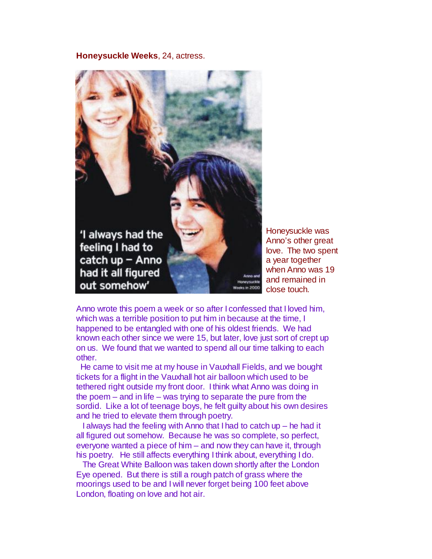**Honeysuckle Weeks**, 24, actress.



Honeysuckle was Anno's other great love. The two spent a year together when Anno was 19 and remained in close touch.

Anno wrote this poem a week or so after I confessed that I loved him, which was a terrible position to put him in because at the time, I happened to be entangled with one of his oldest friends. We had known each other since we were 15, but later, love just sort of crept up on us. We found that we wanted to spend all our time talking to each other.

 He came to visit me at my house in Vauxhall Fields, and we bought tickets for a flight in the Vauxhall hot air balloon which used to be tethered right outside my front door. I think what Anno was doing in the poem – and in life – was trying to separate the pure from the sordid. Like a lot of teenage boys, he felt guilty about his own desires and he tried to elevate them through poetry.

 I always had the feeling with Anno that I had to catch up – he had it all figured out somehow. Because he was so complete, so perfect, everyone wanted a piece of him – and now they can have it, through his poetry. He still affects everything I think about, everything I do.

 The Great White Balloon was taken down shortly after the London Eye opened. But there is still a rough patch of grass where the moorings used to be and I will never forget being 100 feet above London, floating on love and hot air.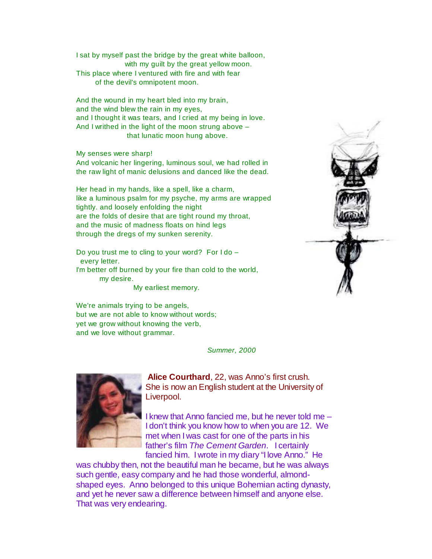I sat by myself past the bridge by the great white balloon, with my guilt by the great yellow moon. This place where I ventured with fire and with fear of the devil's omnipotent moon.

And the wound in my heart bled into my brain, and the wind blew the rain in my eyes, and I thought it was tears, and I cried at my being in love. And I writhed in the light of the moon strung above – that lunatic moon hung above.

My senses were sharp!

And volcanic her lingering, luminous soul, we had rolled in the raw light of manic delusions and danced like the dead.

Her head in my hands, like a spell, like a charm, like a luminous psalm for my psyche, my arms are wrapped tightly. and loosely enfolding the night are the folds of desire that are tight round my throat, and the music of madness floats on hind legs through the dregs of my sunken serenity.

Do you trust me to cling to your word? For I do – every letter. I'm better off burned by your fire than cold to the world, my desire.

My earliest memory.

We're animals trying to be angels, but we are not able to know without words; yet we grow without knowing the verb, and we love without grammar.

 *Summer, 2000*



**Alice Courthard**, 22, was Anno's first crush. She is now an English student at the University of Liverpool.

I knew that Anno fancied me, but he never told me – I don't think you know how to when you are 12. We met when I was cast for one of the parts in his father's film *The Cement Garden*. I certainly fancied him. I wrote in my diary "I love Anno." He

was chubby then, not the beautiful man he became, but he was always such gentle, easy company and he had those wonderful, almondshaped eyes. Anno belonged to this unique Bohemian acting dynasty, and yet he never saw a difference between himself and anyone else. That was very endearing.

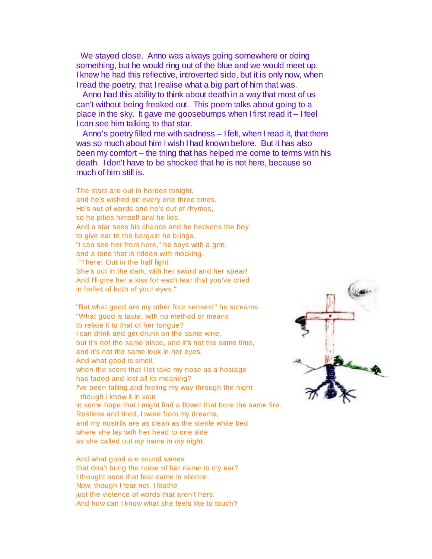We stayed close. Anno was always going somewhere or doing something, but he would ring out of the blue and we would meet up. I knew he had this reflective, introverted side, but it is only now, when I read the poetry, that I realise what a big part of him that was.

 Anno had this ability to think about death in a way that most of us can't without being freaked out. This poem talks about going to a place in the sky. It gave me goosebumps when I first read it – I feel I can see him talking to that star.

 Anno's poetry filled me with sadness – I felt, when I read it, that there was so much about him I wish I had known before. But it has also been my comfort – the thing that has helped me come to terms with his death. I don't have to be shocked that he is not here, because so much of him still is.

The stars are out in hordes tonight, and he's wished on every one three times. He's out of words and he's out of rhymes, so he pities himself and he lies. And a star sees his chance and he beckons the boy to give ear to the bargain he brings. "I can see her from here," he says with a grin, and a tone that is ridden with mocking. "There! Out in the half light She's out in the dark, with her sword and her spear! And I'll give her a kiss for each tear that you've cried in forfeit of both of your eyes."

"But what good are my other four senses!" he screams. "What good is taste, with no method or means to relate it to that of her tongue? I can drink and get drunk on the same wine, but it's not the same place, and it's not the same time, and it's not the same look in her eyes. And what good is smell, when the scent that I let take my nose as a hostage has faded and lost all its meaning? I've been falling and feeling my way through the night though I know it in vain in some hope that I might find a flower that bore the same fire. Restless and tired, I wake from my dreams, and my nostrils are as clean as the sterile white bed where she lay with her head to one side as she called out *my* name in *my* night.

And what good are sound waves that don't bring the noise of her name to my ear? I thought once that fear came in silence. Now, though I fear not, I loathe just the violence of words that aren't hers. And how can I know what she feels like to touch?

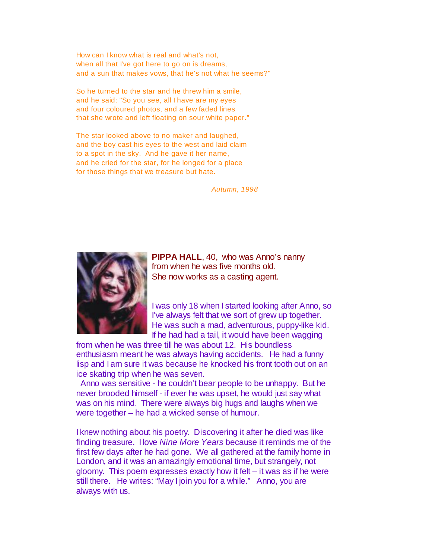How can I know what is real and what's not, when all that I've got here to go on is dreams, and a sun that makes vows, that he's not what he seems?"

So he turned to the star and he threw him a smile, and he said: "So you see, all I have are my eyes and four coloured photos, and a few faded lines that she wrote and left floating on sour white paper."

The star looked above to no maker and laughed, and the boy cast his eyes to the west and laid claim to a spot in the sky. And he gave it her name, and he cried for the star, for he longed for a place for those things that we treasure but hate.

 *Autumn, 1998*



**PIPPA HALL, 40, who was Anno's nanny** from when he was five months old. She now works as a casting agent.

I was only 18 when I started looking after Anno, so I've always felt that we sort of grew up together. He was such a mad, adventurous, puppy-like kid. If he had had a tail, it would have been wagging

from when he was three till he was about 12. His boundless enthusiasm meant he was always having accidents. He had a funny lisp and I am sure it was because he knocked his front tooth out on an ice skating trip when he was seven.

 Anno was sensitive - he couldn't bear people to be unhappy. But he never brooded himself - if ever he was upset, he would just say what was on his mind. There were always big hugs and laughs when we were together – he had a wicked sense of humour.

I knew nothing about his poetry. Discovering it after he died was like finding treasure. I love *Nine More Years* because it reminds me of the first few days after he had gone. We all gathered at the family home in London, and it was an amazingly emotional time, but strangely, not gloomy. This poem expresses exactly how it felt – it was as if he were still there. He writes: "May I join you for a while." Anno, you are always with us.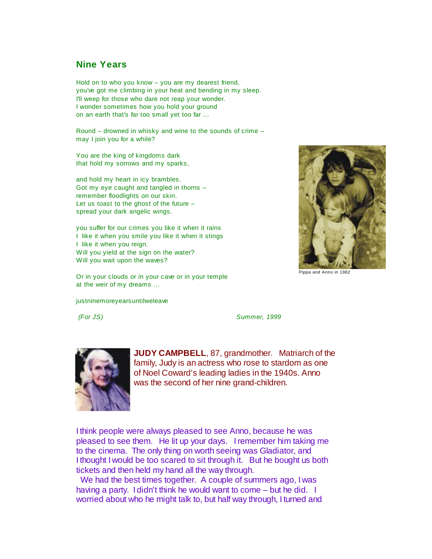#### **Nine Years**

Hold on to who you know – you are my dearest friend, you've got me climbing in your heat and bending in my sleep. I'll weep for those who dare not reap your wonder. I wonder sometimes how you hold your ground on an earth that's far too small yet too far ...

Round – drowned in whisky and wine to the sounds of crime – may I join you for a while?

You are the king of kingdoms dark that hold my sorrows and my sparks,

and hold my heart in icy brambles. Got my eye caught and tangled in thorns – remember floodlights on our skin. Let us toast to the ghost of the future – spread your dark angelic wings.

you suffer for our crimes you like it when it rains I like it when you smile you like it when it stings I like it when you reign. Will you yield at the sign on the water? Will you wait upon the waves?

Or in your clouds or in your cave or in your temple at the weir of my dreams ...

justninemoreyearsuntilweleave



Pippa and Anno in 1982

 *(For JS) Summer, 1999*



**JUDY CAMPBELL**, 87, grandmother. Matriarch of the family, Judy is an actress who rose to stardom as one of Noel Coward's leading ladies in the 1940s. Anno was the second of her nine grand-children.

I think people were always pleased to see Anno, because he was pleased to see them. He lit up your days. I remember him taking me to the cinema. The only thing on worth seeing was Gladiator, and I thought I would be too scared to sit through it. But he bought us both tickets and then held my hand all the way through.

 We had the best times together. A couple of summers ago, I was having a party. I didn't think he would want to come – but he did. I worried about who he might talk to, but half way through, I turned and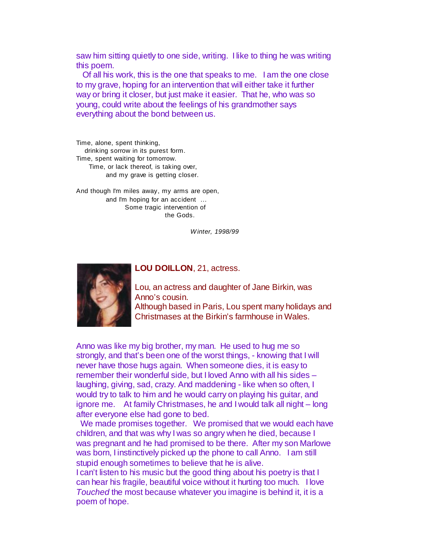saw him sitting quietly to one side, writing. I like to thing he was writing this poem.

 Of all his work, this is the one that speaks to me. I am the one close to my grave, hoping for an intervention that will either take it further way or bring it closer, but just make it easier. That he, who was so young, could write about the feelings of his grandmother says everything about the bond between us.

Time, alone, spent thinking, drinking sorrow in its purest form. Time, spent waiting for tomorrow. Time, or lack thereof, is taking over, and my grave is getting closer.

And though I'm miles away, my arms are open, and I'm hoping for an accident ... Some tragic intervention of the Gods.

 *Winter, 1998/99*



#### **LOU DOILLON**, 21, actress.

Lou, an actress and daughter of Jane Birkin, was Anno's cousin. Although based in Paris, Lou spent many holidays and Christmases at the Birkin's farmhouse in Wales.

Anno was like my big brother, my man. He used to hug me so strongly, and that's been one of the worst things, - knowing that I will never have those hugs again. When someone dies, it is easy to remember their wonderful side, but I loved Anno with all his sides – laughing, giving, sad, crazy. And maddening - like when so often, I would try to talk to him and he would carry on playing his guitar, and ignore me. At family Christmases, he and I would talk all night – long after everyone else had gone to bed.

 We made promises together. We promised that we would each have children, and that was why I was so angry when he died, because I was pregnant and he had promised to be there. After my son Marlowe was born, I instinctively picked up the phone to call Anno. I am still stupid enough sometimes to believe that he is alive.

I can't listen to his music but the good thing about his poetry is that I can hear his fragile, beautiful voice without it hurting too much. I love *Touched* the most because whatever you imagine is behind it, it is a poem of hope.